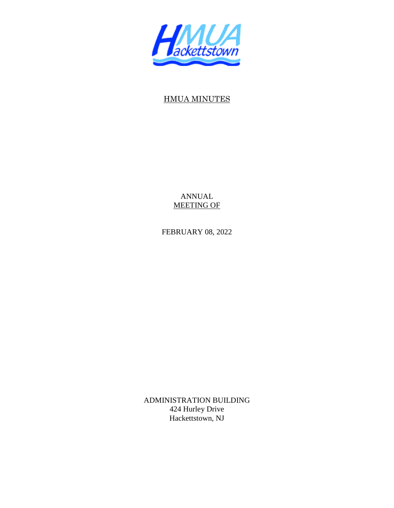

# HMUA MINUTES

ANNUAL MEETING OF

FEBRUARY 08, 2022

ADMINISTRATION BUILDING 424 Hurley Drive Hackettstown, NJ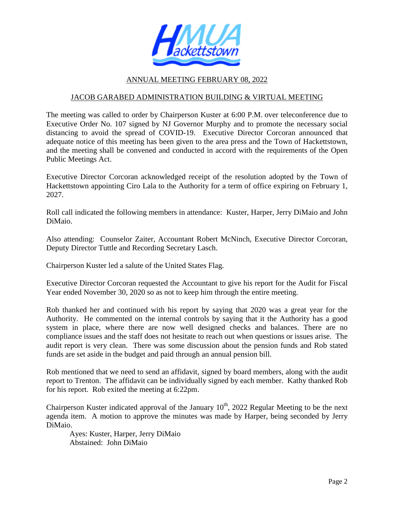

### ANNUAL MEETING FEBRUARY 08, 2022

### JACOB GARABED ADMINISTRATION BUILDING & VIRTUAL MEETING

The meeting was called to order by Chairperson Kuster at 6:00 P.M. over teleconference due to Executive Order No. 107 signed by NJ Governor Murphy and to promote the necessary social distancing to avoid the spread of COVID-19. Executive Director Corcoran announced that adequate notice of this meeting has been given to the area press and the Town of Hackettstown, and the meeting shall be convened and conducted in accord with the requirements of the Open Public Meetings Act.

Executive Director Corcoran acknowledged receipt of the resolution adopted by the Town of Hackettstown appointing Ciro Lala to the Authority for a term of office expiring on February 1, 2027.

Roll call indicated the following members in attendance: Kuster, Harper, Jerry DiMaio and John DiMaio.

Also attending: Counselor Zaiter, Accountant Robert McNinch, Executive Director Corcoran, Deputy Director Tuttle and Recording Secretary Lasch.

Chairperson Kuster led a salute of the United States Flag.

Executive Director Corcoran requested the Accountant to give his report for the Audit for Fiscal Year ended November 30, 2020 so as not to keep him through the entire meeting.

Rob thanked her and continued with his report by saying that 2020 was a great year for the Authority. He commented on the internal controls by saying that it the Authority has a good system in place, where there are now well designed checks and balances. There are no compliance issues and the staff does not hesitate to reach out when questions or issues arise. The audit report is very clean. There was some discussion about the pension funds and Rob stated funds are set aside in the budget and paid through an annual pension bill.

Rob mentioned that we need to send an affidavit, signed by board members, along with the audit report to Trenton. The affidavit can be individually signed by each member. Kathy thanked Rob for his report. Rob exited the meeting at 6:22pm.

Chairperson Kuster indicated approval of the January  $10^{th}$ , 2022 Regular Meeting to be the next agenda item. A motion to approve the minutes was made by Harper, being seconded by Jerry DiMaio.

 Ayes: Kuster, Harper, Jerry DiMaio Abstained: John DiMaio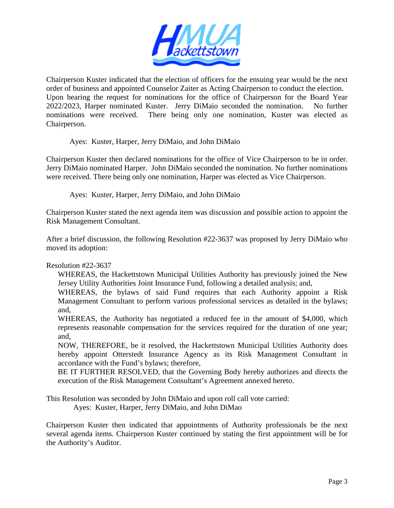

Chairperson Kuster indicated that the election of officers for the ensuing year would be the next order of business and appointed Counselor Zaiter as Acting Chairperson to conduct the election. Upon hearing the request for nominations for the office of Chairperson for the Board Year 2022/2023, Harper nominated Kuster. Jerry DiMaio seconded the nomination. No further nominations were received. There being only one nomination, Kuster was elected as Chairperson.

Ayes: Kuster, Harper, Jerry DiMaio, and John DiMaio

Chairperson Kuster then declared nominations for the office of Vice Chairperson to be in order. Jerry DiMaio nominated Harper. John DiMaio seconded the nomination. No further nominations were received. There being only one nomination, Harper was elected as Vice Chairperson.

Ayes: Kuster, Harper, Jerry DiMaio, and John DiMaio

Chairperson Kuster stated the next agenda item was discussion and possible action to appoint the Risk Management Consultant.

After a brief discussion, the following Resolution #22-3637 was proposed by Jerry DiMaio who moved its adoption:

Resolution #22-3637

WHEREAS, the Hackettstown Municipal Utilities Authority has previously joined the New Jersey Utility Authorities Joint Insurance Fund, following a detailed analysis; and,

WHEREAS, the bylaws of said Fund requires that each Authority appoint a Risk Management Consultant to perform various professional services as detailed in the bylaws; and,

WHEREAS, the Authority has negotiated a reduced fee in the amount of \$4,000, which represents reasonable compensation for the services required for the duration of one year; and,

NOW, THEREFORE, be it resolved, the Hackettstown Municipal Utilities Authority does hereby appoint Otterstedt Insurance Agency as its Risk Management Consultant in accordance with the Fund's bylaws; therefore,

BE IT FURTHER RESOLVED, that the Governing Body hereby authorizes and directs the execution of the Risk Management Consultant's Agreement annexed hereto.

This Resolution was seconded by John DiMaio and upon roll call vote carried:

Ayes: Kuster, Harper, Jerry DiMaio, and John DiMao

Chairperson Kuster then indicated that appointments of Authority professionals be the next several agenda items. Chairperson Kuster continued by stating the first appointment will be for the Authority's Auditor.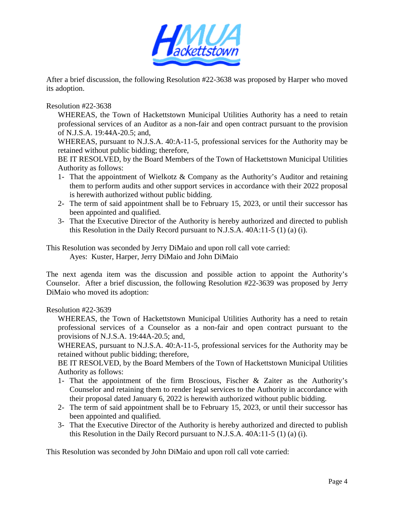

After a brief discussion, the following Resolution #22-3638 was proposed by Harper who moved its adoption.

Resolution #22-3638

WHEREAS, the Town of Hackettstown Municipal Utilities Authority has a need to retain professional services of an Auditor as a non-fair and open contract pursuant to the provision of N.J.S.A. 19:44A-20.5; and,

WHEREAS, pursuant to N.J.S.A. 40:A-11-5, professional services for the Authority may be retained without public bidding; therefore,

BE IT RESOLVED, by the Board Members of the Town of Hackettstown Municipal Utilities Authority as follows:

- 1- That the appointment of Wielkotz & Company as the Authority's Auditor and retaining them to perform audits and other support services in accordance with their 2022 proposal is herewith authorized without public bidding.
- 2- The term of said appointment shall be to February 15, 2023, or until their successor has been appointed and qualified.
- 3- That the Executive Director of the Authority is hereby authorized and directed to publish this Resolution in the Daily Record pursuant to N.J.S.A. 40A:11-5 (1) (a) (i).

This Resolution was seconded by Jerry DiMaio and upon roll call vote carried: Ayes: Kuster, Harper, Jerry DiMaio and John DiMaio

The next agenda item was the discussion and possible action to appoint the Authority's Counselor. After a brief discussion, the following Resolution #22-3639 was proposed by Jerry DiMaio who moved its adoption:

Resolution #22-3639

WHEREAS, the Town of Hackettstown Municipal Utilities Authority has a need to retain professional services of a Counselor as a non-fair and open contract pursuant to the provisions of N.J.S.A. 19:44A-20.5; and,

WHEREAS, pursuant to N.J.S.A. 40:A-11-5, professional services for the Authority may be retained without public bidding; therefore,

BE IT RESOLVED, by the Board Members of the Town of Hackettstown Municipal Utilities Authority as follows:

- 1- That the appointment of the firm Broscious, Fischer & Zaiter as the Authority's Counselor and retaining them to render legal services to the Authority in accordance with their proposal dated January 6, 2022 is herewith authorized without public bidding.
- 2- The term of said appointment shall be to February 15, 2023, or until their successor has been appointed and qualified.
- 3- That the Executive Director of the Authority is hereby authorized and directed to publish this Resolution in the Daily Record pursuant to N.J.S.A. 40A:11-5 (1) (a) (i).

This Resolution was seconded by John DiMaio and upon roll call vote carried: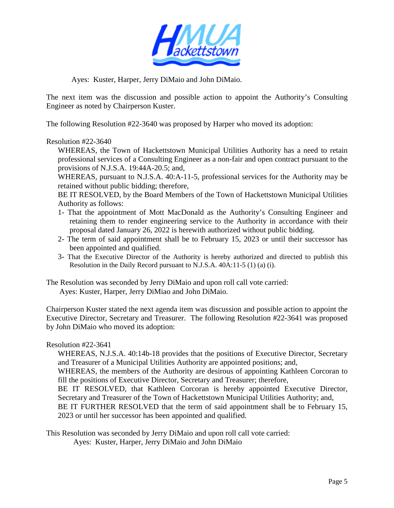

Ayes: Kuster, Harper, Jerry DiMaio and John DiMaio.

The next item was the discussion and possible action to appoint the Authority's Consulting Engineer as noted by Chairperson Kuster.

The following Resolution #22-3640 was proposed by Harper who moved its adoption:

### Resolution #22-3640

WHEREAS, the Town of Hackettstown Municipal Utilities Authority has a need to retain professional services of a Consulting Engineer as a non-fair and open contract pursuant to the provisions of N.J.S.A. 19:44A-20.5; and,

WHEREAS, pursuant to N.J.S.A. 40:A-11-5, professional services for the Authority may be retained without public bidding; therefore,

BE IT RESOLVED, by the Board Members of the Town of Hackettstown Municipal Utilities Authority as follows:

- 1- That the appointment of Mott MacDonald as the Authority's Consulting Engineer and retaining them to render engineering service to the Authority in accordance with their proposal dated January 26, 2022 is herewith authorized without public bidding.
- 2- The term of said appointment shall be to February 15, 2023 or until their successor has been appointed and qualified.
- 3- That the Executive Director of the Authority is hereby authorized and directed to publish this Resolution in the Daily Record pursuant to N.J.S.A. 40A:11-5 (1) (a) (i).

The Resolution was seconded by Jerry DiMaio and upon roll call vote carried: Ayes: Kuster, Harper, Jerry DiMiao and John DiMaio.

Chairperson Kuster stated the next agenda item was discussion and possible action to appoint the Executive Director, Secretary and Treasurer. The following Resolution #22-3641 was proposed by John DiMaio who moved its adoption:

### Resolution #22-3641

WHEREAS, N.J.S.A. 40:14b-18 provides that the positions of Executive Director, Secretary and Treasurer of a Municipal Utilities Authority are appointed positions; and,

WHEREAS, the members of the Authority are desirous of appointing Kathleen Corcoran to fill the positions of Executive Director, Secretary and Treasurer; therefore,

BE IT RESOLVED, that Kathleen Corcoran is hereby appointed Executive Director, Secretary and Treasurer of the Town of Hackettstown Municipal Utilities Authority; and,

BE IT FURTHER RESOLVED that the term of said appointment shall be to February 15, 2023 or until her successor has been appointed and qualified.

This Resolution was seconded by Jerry DiMaio and upon roll call vote carried:

Ayes: Kuster, Harper, Jerry DiMaio and John DiMaio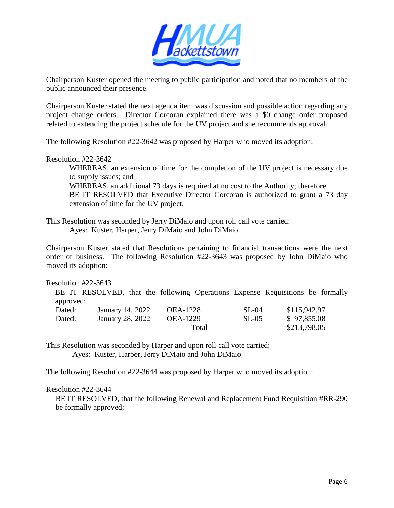

Chairperson Kuster opened the meeting to public participation and noted that no members of the public announced their presence.

Chairperson Kuster stated the next agenda item was discussion and possible action regarding any project change orders. Director Corcoran explained there was a \$0 change order proposed related to extending the project schedule for the UV project and she recommends approval.

The following Resolution #22-3642 was proposed by Harper who moved its adoption:

#### Resolution #22-3642

 WHEREAS, an extension of time for the completion of the UV project is necessary due to supply issues; and

 WHEREAS, an additional 73 days is required at no cost to the Authority; therefore BE IT RESOLVED that Executive Director Corcoran is authorized to grant a 73 day extension of time for the UV project.

This Resolution was seconded by Jerry DiMaio and upon roll call vote carried: Ayes: Kuster, Harper, Jerry DiMaio and John DiMaio

Chairperson Kuster stated that Resolutions pertaining to financial transactions were the next order of business. The following Resolution #22-3643 was proposed by John DiMaio who moved its adoption:

#### Resolution #22-3643

BE IT RESOLVED, that the following Operations Expense Requisitions be formally approved:

| .<br>Dated: | January 14, 2022 | <b>OEA-1228</b> | SL-04 | \$115,942.97 |
|-------------|------------------|-----------------|-------|--------------|
| Dated:      | January 28, 2022 | <b>OEA-1229</b> | SL-05 | \$97,855.08  |
|             |                  | Total           |       | \$213,798.05 |

This Resolution was seconded by Harper and upon roll call vote carried: Ayes: Kuster, Harper, Jerry DiMaio and John DiMaio

The following Resolution #22-3644 was proposed by Harper who moved its adoption:

#### Resolution #22-3644

BE IT RESOLVED, that the following Renewal and Replacement Fund Requisition #RR-290 be formally approved: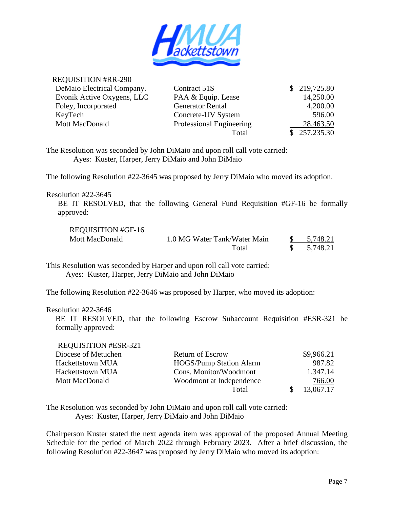

### REQUISITION #RR-290

| DeMaio Electrical Company.<br>Contract 51S        |                    | \$219,725.80 |
|---------------------------------------------------|--------------------|--------------|
| Evonik Active Oxygens, LLC                        | PAA & Equip. Lease | 14,250.00    |
| <b>Generator Rental</b><br>Foley, Incorporated    |                    | 4,200.00     |
| KeyTech                                           | Concrete-UV System | 596.00       |
| <b>Mott MacDonald</b><br>Professional Engineering |                    | 28,463.50    |
|                                                   | Total              | \$257,235.30 |

The Resolution was seconded by John DiMaio and upon roll call vote carried: Ayes: Kuster, Harper, Jerry DiMaio and John DiMaio

The following Resolution #22-3645 was proposed by Jerry DiMaio who moved its adoption.

#### Resolution #22-3645

 BE IT RESOLVED, that the following General Fund Requisition #GF-16 be formally approved:

| <b>REQUISITION #GF-16</b> |                              |          |
|---------------------------|------------------------------|----------|
| Mott MacDonald            | 1.0 MG Water Tank/Water Main | 5,748.21 |
|                           | Total                        | 5,748.21 |

This Resolution was seconded by Harper and upon roll call vote carried: Ayes: Kuster, Harper, Jerry DiMaio and John DiMaio

The following Resolution #22-3646 was proposed by Harper, who moved its adoption:

#### Resolution #22-3646

REQUIRED 331

BE IT RESOLVED, that the following Escrow Subaccount Requisition #ESR-321 be formally approved:

| <b>REQUISITION #ESK-321</b> |                                |            |
|-----------------------------|--------------------------------|------------|
| Diocese of Metuchen         | <b>Return of Escrow</b>        | \$9,966.21 |
| Hackettstown MUA            | <b>HOGS/Pump Station Alarm</b> | 987.82     |
| Hackettstown MUA            | Cons. Monitor/Woodmont         | 1.347.14   |
| Mott MacDonald              | Woodmont at Independence       | 766.00     |
|                             | Total                          | 13,067.17  |

The Resolution was seconded by John DiMaio and upon roll call vote carried: Ayes: Kuster, Harper, Jerry DiMaio and John DiMaio

Chairperson Kuster stated the next agenda item was approval of the proposed Annual Meeting Schedule for the period of March 2022 through February 2023. After a brief discussion, the following Resolution #22-3647 was proposed by Jerry DiMaio who moved its adoption: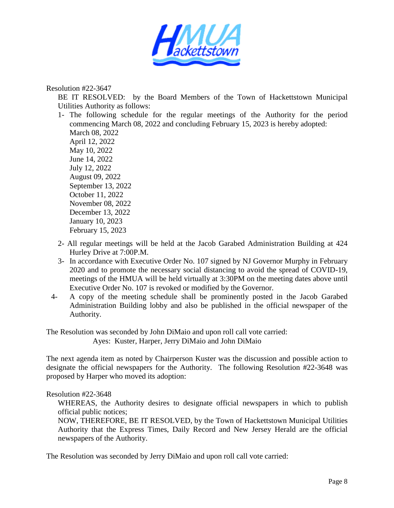

Resolution #22-3647

BE IT RESOLVED: by the Board Members of the Town of Hackettstown Municipal Utilities Authority as follows:

1- The following schedule for the regular meetings of the Authority for the period commencing March 08, 2022 and concluding February 15, 2023 is hereby adopted: March 08, 2022 April 12, 2022 May 10, 2022 June 14, 2022 July 12, 2022 August 09, 2022 September 13, 2022 October 11, 2022

November 08, 2022 December 13, 2022 January 10, 2023 February 15, 2023

- 2- All regular meetings will be held at the Jacob Garabed Administration Building at 424 Hurley Drive at 7:00P.M.
- 3- In accordance with Executive Order No. 107 signed by NJ Governor Murphy in February 2020 and to promote the necessary social distancing to avoid the spread of COVID-19, meetings of the HMUA will be held virtually at 3:30PM on the meeting dates above until Executive Order No. 107 is revoked or modified by the Governor.
- 4- A copy of the meeting schedule shall be prominently posted in the Jacob Garabed Administration Building lobby and also be published in the official newspaper of the Authority.

The Resolution was seconded by John DiMaio and upon roll call vote carried:

Ayes: Kuster, Harper, Jerry DiMaio and John DiMaio

The next agenda item as noted by Chairperson Kuster was the discussion and possible action to designate the official newspapers for the Authority. The following Resolution #22-3648 was proposed by Harper who moved its adoption:

### Resolution #22-3648

WHEREAS, the Authority desires to designate official newspapers in which to publish official public notices;

NOW, THEREFORE, BE IT RESOLVED, by the Town of Hackettstown Municipal Utilities Authority that the Express Times, Daily Record and New Jersey Herald are the official newspapers of the Authority.

The Resolution was seconded by Jerry DiMaio and upon roll call vote carried: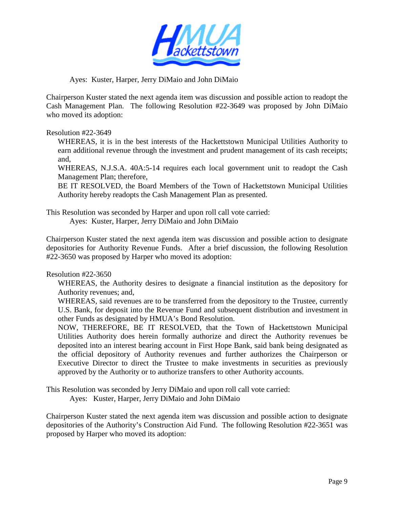

### Ayes: Kuster, Harper, Jerry DiMaio and John DiMaio

Chairperson Kuster stated the next agenda item was discussion and possible action to readopt the Cash Management Plan. The following Resolution #22-3649 was proposed by John DiMaio who moved its adoption:

### Resolution #22-3649

WHEREAS, it is in the best interests of the Hackettstown Municipal Utilities Authority to earn additional revenue through the investment and prudent management of its cash receipts; and,

WHEREAS, N.J.S.A. 40A:5-14 requires each local government unit to readopt the Cash Management Plan; therefore,

BE IT RESOLVED, the Board Members of the Town of Hackettstown Municipal Utilities Authority hereby readopts the Cash Management Plan as presented.

This Resolution was seconded by Harper and upon roll call vote carried:

Ayes: Kuster, Harper, Jerry DiMaio and John DiMaio

Chairperson Kuster stated the next agenda item was discussion and possible action to designate depositories for Authority Revenue Funds. After a brief discussion, the following Resolution #22-3650 was proposed by Harper who moved its adoption:

## Resolution #22-3650

WHEREAS, the Authority desires to designate a financial institution as the depository for Authority revenues; and,

WHEREAS, said revenues are to be transferred from the depository to the Trustee, currently U.S. Bank, for deposit into the Revenue Fund and subsequent distribution and investment in other Funds as designated by HMUA's Bond Resolution.

NOW, THEREFORE, BE IT RESOLVED, that the Town of Hackettstown Municipal Utilities Authority does herein formally authorize and direct the Authority revenues be deposited into an interest bearing account in First Hope Bank, said bank being designated as the official depository of Authority revenues and further authorizes the Chairperson or Executive Director to direct the Trustee to make investments in securities as previously approved by the Authority or to authorize transfers to other Authority accounts.

This Resolution was seconded by Jerry DiMaio and upon roll call vote carried:

Ayes: Kuster, Harper, Jerry DiMaio and John DiMaio

Chairperson Kuster stated the next agenda item was discussion and possible action to designate depositories of the Authority's Construction Aid Fund. The following Resolution #22-3651 was proposed by Harper who moved its adoption: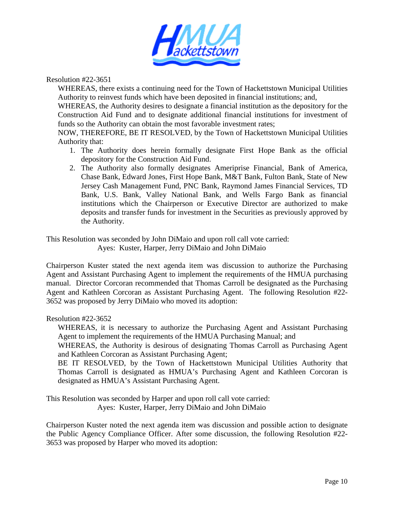

Resolution #22-3651

WHEREAS, there exists a continuing need for the Town of Hackettstown Municipal Utilities Authority to reinvest funds which have been deposited in financial institutions; and,

WHEREAS, the Authority desires to designate a financial institution as the depository for the Construction Aid Fund and to designate additional financial institutions for investment of funds so the Authority can obtain the most favorable investment rates;

NOW, THEREFORE, BE IT RESOLVED, by the Town of Hackettstown Municipal Utilities Authority that:

- 1. The Authority does herein formally designate First Hope Bank as the official depository for the Construction Aid Fund.
- 2. The Authority also formally designates Ameriprise Financial, Bank of America, Chase Bank, Edward Jones, First Hope Bank, M&T Bank, Fulton Bank, State of New Jersey Cash Management Fund, PNC Bank, Raymond James Financial Services, TD Bank, U.S. Bank, Valley National Bank, and Wells Fargo Bank as financial institutions which the Chairperson or Executive Director are authorized to make deposits and transfer funds for investment in the Securities as previously approved by the Authority.

This Resolution was seconded by John DiMaio and upon roll call vote carried:

Ayes: Kuster, Harper, Jerry DiMaio and John DiMaio

Chairperson Kuster stated the next agenda item was discussion to authorize the Purchasing Agent and Assistant Purchasing Agent to implement the requirements of the HMUA purchasing manual. Director Corcoran recommended that Thomas Carroll be designated as the Purchasing Agent and Kathleen Corcoran as Assistant Purchasing Agent. The following Resolution #22- 3652 was proposed by Jerry DiMaio who moved its adoption:

Resolution #22-3652

WHEREAS, it is necessary to authorize the Purchasing Agent and Assistant Purchasing Agent to implement the requirements of the HMUA Purchasing Manual; and

WHEREAS, the Authority is desirous of designating Thomas Carroll as Purchasing Agent and Kathleen Corcoran as Assistant Purchasing Agent;

BE IT RESOLVED, by the Town of Hackettstown Municipal Utilities Authority that Thomas Carroll is designated as HMUA's Purchasing Agent and Kathleen Corcoran is designated as HMUA's Assistant Purchasing Agent.

This Resolution was seconded by Harper and upon roll call vote carried: Ayes: Kuster, Harper, Jerry DiMaio and John DiMaio

Chairperson Kuster noted the next agenda item was discussion and possible action to designate the Public Agency Compliance Officer. After some discussion, the following Resolution #22- 3653 was proposed by Harper who moved its adoption: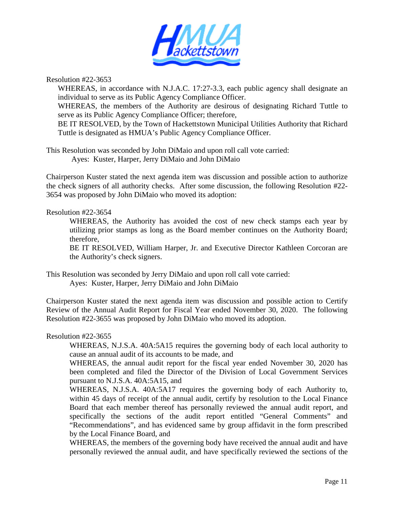

Resolution #22-3653

WHEREAS, in accordance with N.J.A.C. 17:27-3.3, each public agency shall designate an individual to serve as its Public Agency Compliance Officer.

WHEREAS, the members of the Authority are desirous of designating Richard Tuttle to serve as its Public Agency Compliance Officer; therefore,

BE IT RESOLVED, by the Town of Hackettstown Municipal Utilities Authority that Richard Tuttle is designated as HMUA's Public Agency Compliance Officer.

This Resolution was seconded by John DiMaio and upon roll call vote carried: Ayes: Kuster, Harper, Jerry DiMaio and John DiMaio

Chairperson Kuster stated the next agenda item was discussion and possible action to authorize the check signers of all authority checks. After some discussion, the following Resolution #22- 3654 was proposed by John DiMaio who moved its adoption:

### Resolution #22-3654

 WHEREAS, the Authority has avoided the cost of new check stamps each year by utilizing prior stamps as long as the Board member continues on the Authority Board; therefore,

 BE IT RESOLVED, William Harper, Jr. and Executive Director Kathleen Corcoran are the Authority's check signers.

This Resolution was seconded by Jerry DiMaio and upon roll call vote carried: Ayes: Kuster, Harper, Jerry DiMaio and John DiMaio

Chairperson Kuster stated the next agenda item was discussion and possible action to Certify Review of the Annual Audit Report for Fiscal Year ended November 30, 2020. The following Resolution #22-3655 was proposed by John DiMaio who moved its adoption.

#### Resolution #22-3655

 WHEREAS, N.J.S.A. 40A:5A15 requires the governing body of each local authority to cause an annual audit of its accounts to be made, and

 WHEREAS, the annual audit report for the fiscal year ended November 30, 2020 has been completed and filed the Director of the Division of Local Government Services pursuant to N.J.S.A. 40A:5A15, and

 WHEREAS, N.J.S.A. 40A:5A17 requires the governing body of each Authority to, within 45 days of receipt of the annual audit, certify by resolution to the Local Finance Board that each member thereof has personally reviewed the annual audit report, and specifically the sections of the audit report entitled "General Comments" and "Recommendations", and has evidenced same by group affidavit in the form prescribed by the Local Finance Board, and

WHEREAS, the members of the governing body have received the annual audit and have personally reviewed the annual audit, and have specifically reviewed the sections of the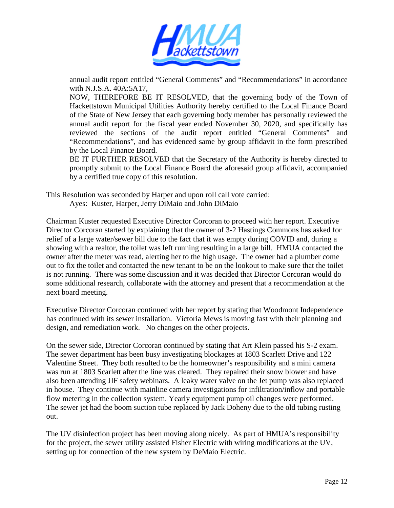

annual audit report entitled "General Comments" and "Recommendations" in accordance with N.J.S.A. 40A:5A17,

 NOW, THEREFORE BE IT RESOLVED, that the governing body of the Town of Hackettstown Municipal Utilities Authority hereby certified to the Local Finance Board of the State of New Jersey that each governing body member has personally reviewed the annual audit report for the fiscal year ended November 30, 2020, and specifically has reviewed the sections of the audit report entitled "General Comments" and "Recommendations", and has evidenced same by group affidavit in the form prescribed by the Local Finance Board.

 BE IT FURTHER RESOLVED that the Secretary of the Authority is hereby directed to promptly submit to the Local Finance Board the aforesaid group affidavit, accompanied by a certified true copy of this resolution.

This Resolution was seconded by Harper and upon roll call vote carried:

Ayes: Kuster, Harper, Jerry DiMaio and John DiMaio

Chairman Kuster requested Executive Director Corcoran to proceed with her report. Executive Director Corcoran started by explaining that the owner of 3-2 Hastings Commons has asked for relief of a large water/sewer bill due to the fact that it was empty during COVID and, during a showing with a realtor, the toilet was left running resulting in a large bill. HMUA contacted the owner after the meter was read, alerting her to the high usage. The owner had a plumber come out to fix the toilet and contacted the new tenant to be on the lookout to make sure that the toilet is not running. There was some discussion and it was decided that Director Corcoran would do some additional research, collaborate with the attorney and present that a recommendation at the next board meeting.

Executive Director Corcoran continued with her report by stating that Woodmont Independence has continued with its sewer installation. Victoria Mews is moving fast with their planning and design, and remediation work. No changes on the other projects.

On the sewer side, Director Corcoran continued by stating that Art Klein passed his S-2 exam. The sewer department has been busy investigating blockages at 1803 Scarlett Drive and 122 Valentine Street. They both resulted to be the homeowner's responsibility and a mini camera was run at 1803 Scarlett after the line was cleared. They repaired their snow blower and have also been attending JIF safety webinars. A leaky water valve on the Jet pump was also replaced in house. They continue with mainline camera investigations for infiltration/inflow and portable flow metering in the collection system. Yearly equipment pump oil changes were performed. The sewer jet had the boom suction tube replaced by Jack Doheny due to the old tubing rusting out.

The UV disinfection project has been moving along nicely. As part of HMUA's responsibility for the project, the sewer utility assisted Fisher Electric with wiring modifications at the UV, setting up for connection of the new system by DeMaio Electric.